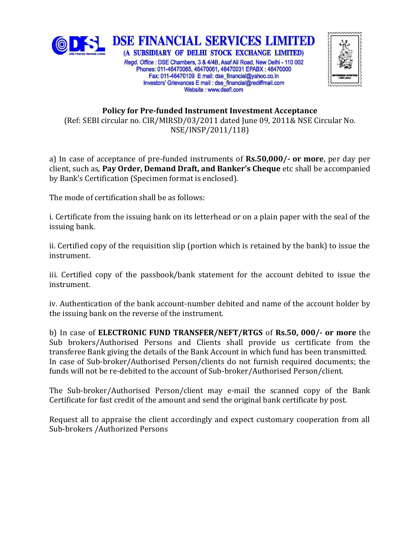



## **Policy for Pre-funded Instrument Investment Acceptance** (Ref: SEBI circular no. CIR/MIRSD/03/2011 dated June 09, 2011& NSE Circular No. NSE/INSP/2011/118)

Investors' Grievances E mail : dse financial@rediffmail.com Website: www.dsefl.com

a) In case of acceptance of pre-funded instruments of **Rs.50,000/- or more**, per day per client, such as, **Pay Order, Demand Draft, and Banker's Cheque** etc shall be accompanied by Bank's Certification (Specimen format is enclosed).

The mode of certification shall be as follows:

i. Certificate from the issuing bank on its letterhead or on a plain paper with the seal of the issuing bank.

ii. Certified copy of the requisition slip (portion which is retained by the bank) to issue the instrument.

iii. Certified copy of the passbook/bank statement for the account debited to issue the instrument.

iv. Authentication of the bank account-number debited and name of the account holder by the issuing bank on the reverse of the instrument.

b) In case of **ELECTRONIC FUND TRANSFER/NEFT/RTGS** of **Rs.50, 000/- or more** the Sub brokers/Authorised Persons and Clients shall provide us certificate from the transferee Bank giving the details of the Bank Account in which fund has been transmitted. In case of Sub-broker/Authorised Person/clients do not furnish required documents; the funds will not be re-debited to the account of Sub-broker/Authorised Person/client.

The Sub-broker/Authorised Person/client may e-mail the scanned copy of the Bank Certificate for fast credit of the amount and send the original bank certificate by post.

Request all to appraise the client accordingly and expect customary cooperation from all Sub-brokers /Authorized Persons